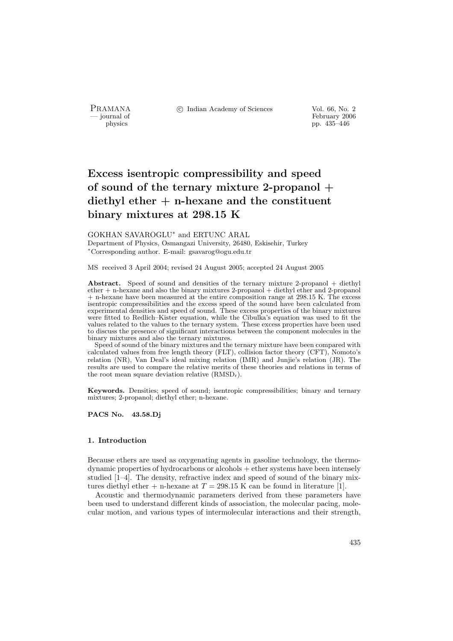PRAMANA °c Indian Academy of Sciences Vol. 66, No. 2

physics<br>
and the settlement of February 2006<br>
pp. 435–446<br>
pp. 435–446 physics pp. 435–446

# Excess isentropic compressibility and speed of sound of the ternary mixture 2-propanol  $+$ diethyl ether  $+$  n-hexane and the constituent binary mixtures at 298.15 K

GOKHAN SAVAROGLU<sup>∗</sup> and ERTUNC ARAL

Department of Physics, Osmangazi University, 26480, Eskisehir, Turkey <sup>∗</sup>Corresponding author. E-mail: gsavarog@ogu.edu.tr

MS received 3 April 2004; revised 24 August 2005; accepted 24 August 2005

Abstract. Speed of sound and densities of the ternary mixture 2-propanol + diethyl ether  $+$  n-hexane and also the binary mixtures 2-propanol  $+$  diethyl ether and 2-propanol + n-hexane have been measured at the entire composition range at 298.15 K. The excess isentropic compressibilities and the excess speed of the sound have been calculated from experimental densities and speed of sound. These excess properties of the binary mixtures were fitted to Redlich–Kister equation, while the Cibulka's equation was used to fit the values related to the values to the ternary system. These excess properties have been used to discuss the presence of significant interactions between the component molecules in the binary mixtures and also the ternary mixtures.

Speed of sound of the binary mixtures and the ternary mixture have been compared with calculated values from free length theory (FLT), collision factor theory (CFT), Nomoto's relation (NR), Van Deal's ideal mixing relation (IMR) and Junjie's relation (JR). The results are used to compare the relative merits of these theories and relations in terms of the root mean square deviation relative  $(RMSD_r)$ .

Keywords. Densities; speed of sound; isentropic compressibilities; binary and ternary mixtures; 2-propanol; diethyl ether; n-hexane.

PACS No. 43.58.Dj

## 1. Introduction

Because ethers are used as oxygenating agents in gasoline technology, the thermodynamic properties of hydrocarbons or alcohols + ether systems have been intensely studied [1–4]. The density, refractive index and speed of sound of the binary mixtures diethyl ether + n-hexane at  $T = 298.15$  K can be found in literature [1].

Acoustic and thermodynamic parameters derived from these parameters have been used to understand different kinds of association, the molecular pacing, molecular motion, and various types of intermolecular interactions and their strength,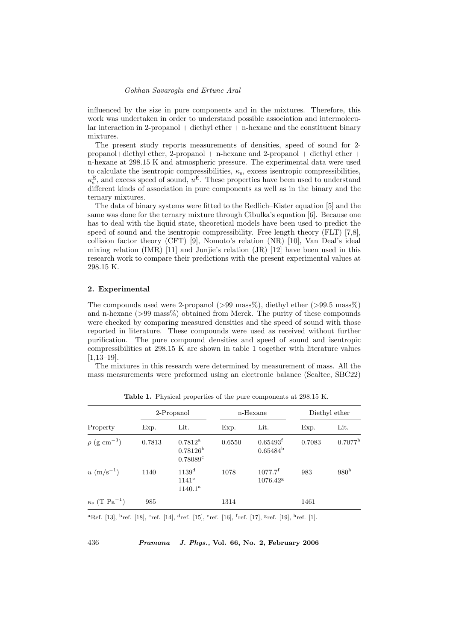influenced by the size in pure components and in the mixtures. Therefore, this work was undertaken in order to understand possible association and intermolecular interaction in 2-propanol + diethyl ether + n-hexane and the constituent binary mixtures.

The present study reports measurements of densities, speed of sound for 2 propanol+diethyl ether, 2-propanol + n-hexane and 2-propanol + diethyl ether + n-hexane at 298.15 K and atmospheric pressure. The experimental data were used to calculate the isentropic compressibilities,  $\kappa_{\rm s}$ , excess isentropic compressibilities,  $\kappa_{\rm s}^{\rm E}$ , and excess speed of sound,  $u^{\rm E}$ . These properties have been used to understand different kinds of association in pure components as well as in the binary and the ternary mixtures.

The data of binary systems were fitted to the Redlich–Kister equation [5] and the same was done for the ternary mixture through Cibulka's equation [6]. Because one has to deal with the liquid state, theoretical models have been used to predict the speed of sound and the isentropic compressibility. Free length theory (FLT) [7,8], collision factor theory (CFT) [9], Nomoto's relation (NR) [10], Van Deal's ideal mixing relation (IMR)  $[11]$  and Junjie's relation (JR)  $[12]$  have been used in this research work to compare their predictions with the present experimental values at 298.15 K.

#### 2. Experimental

The compounds used were 2-propanol ( $>99$  mass%), diethyl ether ( $>99.5$  mass%) and n-hexane  $(>99 \text{ mass})$  obtained from Merck. The purity of these compounds were checked by comparing measured densities and the speed of sound with those reported in literature. These compounds were used as received without further purification. The pure compound densities and speed of sound and isentropic compressibilities at 298.15 K are shown in table 1 together with literature values [1,13–19].

The mixtures in this research were determined by measurement of mass. All the mass measurements were preformed using an electronic balance (Scaltec, SBC22)

|                                        | 2-Propanol |                                                   | n-Hexane |                                            | Diethyl ether |                  |
|----------------------------------------|------------|---------------------------------------------------|----------|--------------------------------------------|---------------|------------------|
| Property                               | Exp.       | Lit.                                              | Exp.     | Lit.                                       | Exp.          | Lit.             |
| $\rho$ (g cm <sup>-3</sup> )           | 0.7813     | $0.7812^{\rm a}$<br>$0.78126^{\rm b}$<br>0.78089c | 0.6550   | 0.65493 <sup>f</sup><br>$0.65484^{\rm b}$  | 0.7083        | $0.7077^{\rm h}$ |
| $u \, (\text{m/s}^{-1})$               | 1140       | 1139 <sup>d</sup><br>$1141^e$<br>$1140.1^{\rm a}$ | 1078     | $1077.7^{\rm f}$<br>$1076.42$ <sup>g</sup> | 983           | 980 <sup>h</sup> |
| $\kappa_{\rm s}$ (T Pa <sup>-1</sup> ) | 985        |                                                   | 1314     |                                            | 1461          |                  |

Table 1. Physical properties of the pure components at 298.15 K.

<sup>a</sup>Ref. [13], <sup>b</sup>ref. [18], <sup>c</sup>ref. [14], <sup>d</sup>ref. [15], <sup>e</sup>ref. [16], <sup>f</sup>ref. [17], <sup>g</sup>ref. [19], <sup>h</sup>ref. [1].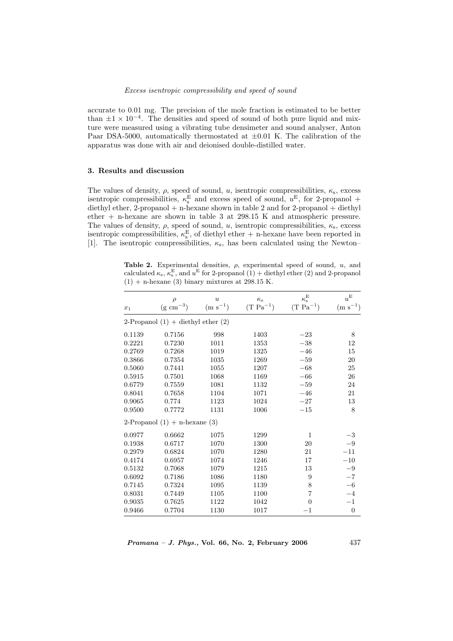accurate to 0.01 mg. The precision of the mole fraction is estimated to be better than  $\pm 1 \times 10^{-4}$ . The densities and speed of sound of both pure liquid and mixture were measured using a vibrating tube densimeter and sound analyser, Anton Paar DSA-5000, automatically thermostated at  $\pm 0.01$  K. The calibration of the apparatus was done with air and deionised double-distilled water.

## 3. Results and discussion

The values of density,  $\rho$ , speed of sound, u, isentropic compressibilities,  $\kappa_s$ , excess isentropic compressibilities,  $\kappa_s^{\text{E}}$  and excess speed of sound,  $u^{\text{E}}$ , for 2-propanol + diethyl ether, 2-propanol + n-hexane shown in table 2 and for 2-propanol + diethyl ether + n-hexane are shown in table 3 at 298.15 K and atmospheric pressure. The values of density,  $\rho$ , speed of sound, u, isentropic compressibilities,  $\kappa_s$ , excess isentropic compressibilities,  $\kappa_s^E$ , of diethyl ether + n-hexane have been reported in [1]. The isentropic compressibilities,  $\kappa_s$ , has been calculated using the Newton–

Table 2. Experimental densities,  $\rho$ , experimental speed of sound, u, and calculated  $\kappa_s$ ,  $\kappa_s^E$ , and  $u^E$  for 2-propanol (1) + diethyl ether (2) and 2-propanol  $(1)$  + n-hexane  $(3)$  binary mixtures at 298.15 K.

| $x_1$                                  | $\rho$<br>$(g \text{ cm}^{-3})$ | $\boldsymbol{u}$<br>$(m s^{-1})$ | $\kappa_{\rm s}$<br>$(T Pa^{-1})$ | $\kappa_{\rm s}^{\rm E}$<br>$(T Pa^{-1})$ | $u^{\rm E}$<br>$(m s^{-1})$ |  |  |
|----------------------------------------|---------------------------------|----------------------------------|-----------------------------------|-------------------------------------------|-----------------------------|--|--|
| 2-Propanol $(1)$ + diethyl ether $(2)$ |                                 |                                  |                                   |                                           |                             |  |  |
| 0.1139                                 | 0.7156                          | 998                              | 1403                              | $-23$                                     | 8                           |  |  |
| 0.2221                                 | 0.7230                          | 1011                             | 1353                              | $-38$                                     | 12                          |  |  |
| 0.2769                                 | 0.7268                          | 1019                             | 1325                              | $-46$                                     | 15                          |  |  |
| 0.3866                                 | 0.7354                          | 1035                             | 1269                              | $-59$                                     | 20                          |  |  |
| 0.5060                                 | 0.7441                          | 1055                             | 1207                              | $-68$                                     | 25                          |  |  |
| 0.5915                                 | 0.7501                          | 1068                             | 1169                              | $-66$                                     | 26                          |  |  |
| 0.6779                                 | 0.7559                          | 1081                             | 1132                              | $-59$                                     | 24                          |  |  |
| 0.8041                                 | 0.7658                          | 1104                             | 1071                              | $-46$                                     | 21                          |  |  |
| 0.9065                                 | 0.774                           | 1123                             | 1024                              | $-27$                                     | 13                          |  |  |
| 0.9500                                 | 0.7772                          | 1131                             | 1006                              | $-15$                                     | 8                           |  |  |
| 2-Propanol $(1)$ + n-hexane $(3)$      |                                 |                                  |                                   |                                           |                             |  |  |
| 0.0977                                 | 0.6662                          | 1075                             | $1299\,$                          | $\mathbf{1}$                              | $-3$                        |  |  |
| 0.1938                                 | 0.6717                          | 1070                             | 1300                              | 20                                        | $-9$                        |  |  |
| 0.2979                                 | 0.6824                          | 1070                             | 1280                              | 21                                        | $-11$                       |  |  |
| 0.4174                                 | 0.6957                          | 1074                             | 1246                              | 17                                        | $-10$                       |  |  |
| 0.5132                                 | 0.7068                          | 1079                             | 1215                              | 13                                        | $-9$                        |  |  |
| 0.6092                                 | 0.7186                          | 1086                             | 1180                              | 9                                         | $-7$                        |  |  |
| 0.7145                                 | 0.7324                          | 1095                             | 1139                              | 8                                         | $-6$                        |  |  |
| 0.8031                                 | 0.7449                          | 1105                             | 1100                              | $\overline{7}$                            | $-4$                        |  |  |
| 0.9035                                 | 0.7625                          | 1122                             | 1042                              | $\Omega$                                  | $-1$                        |  |  |
| 0.9466                                 | 0.7704                          | 1130                             | 1017                              | $^{-1}$                                   | $\theta$                    |  |  |

 $Pramana - J. Phys., Vol. 66, No. 2, February 2006  $437$$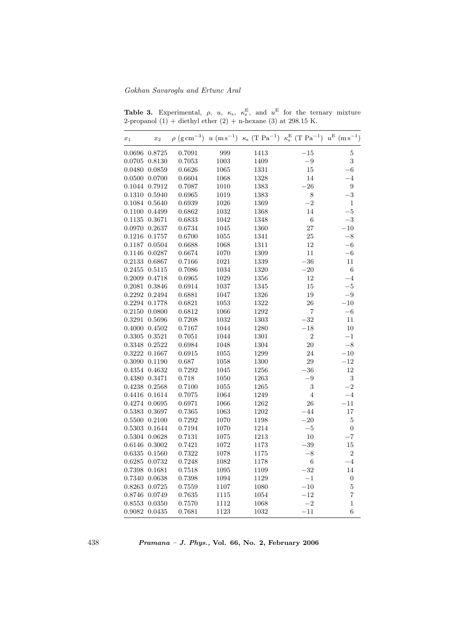| $x_1$        | $x_2$  |        |      |      | $\rho$ (g cm <sup>-3</sup> ) u (m s <sup>-1</sup> ) $\kappa$ (T Pa <sup>-1</sup> ) $\kappa$ <sup>E</sup> (T Pa <sup>-1</sup> ) u <sup>E</sup> (m s <sup>-1</sup> ) |                  |
|--------------|--------|--------|------|------|--------------------------------------------------------------------------------------------------------------------------------------------------------------------|------------------|
| 0.0696       | 0.8725 | 0.7091 | 999  | 1413 | $-15\,$                                                                                                                                                            | 5                |
| 0.0705       | 0.8130 | 0.7053 | 1003 | 1409 | $-9$                                                                                                                                                               | 3                |
| 0.0480       | 0.0859 | 0.6626 | 1065 | 1331 | 15                                                                                                                                                                 | $^{-6}$          |
| 0.0500       | 0.0700 | 0.6604 | 1068 | 1328 | 14                                                                                                                                                                 | $^{-4}$          |
| 0.1044       | 0.7912 | 0.7087 | 1010 | 1383 | $-26$                                                                                                                                                              | $\boldsymbol{9}$ |
| 0.1310       | 0.5940 | 0.6965 | 1019 | 1383 | 8                                                                                                                                                                  | $-3$             |
| 0.1084       | 0.5640 | 0.6939 | 1026 | 1369 | $-2$                                                                                                                                                               | 1                |
| 0.1100       | 0.4499 | 0.6862 | 1032 | 1368 | 14                                                                                                                                                                 | $-5$             |
| 0.1135       | 0.3671 | 0.6833 | 1042 | 1348 | 6                                                                                                                                                                  | $-3$             |
| 0.0970       | 0.2637 | 0.6734 | 1045 | 1360 | 27                                                                                                                                                                 | $-10$            |
| 0.1216       | 0.1757 | 0.6700 | 1055 | 1341 | 25                                                                                                                                                                 | $-8$             |
| 0.1187       | 0.0504 | 0.6688 | 1068 | 1311 | 12                                                                                                                                                                 | $-6$             |
| 0.1146       | 0.0287 | 0.6674 | 1070 | 1309 | 11                                                                                                                                                                 | $-6$             |
| 0.2133       | 0.6867 | 0.7166 | 1021 | 1339 | $-36$                                                                                                                                                              | 11               |
| 0.2455       | 0.5115 | 0.7086 | 1034 | 1320 | $-20$                                                                                                                                                              | $\,6$            |
| 0.2009       | 0.4718 | 0.6965 | 1029 | 1356 | 12                                                                                                                                                                 | $-4$             |
| 0.2081       | 0.3846 | 0.6914 | 1037 | 1345 | 15                                                                                                                                                                 | $-5$             |
| 0.2292       | 0.2494 | 0.6881 | 1047 | 1326 | 19                                                                                                                                                                 | $-9$             |
| 0.2294       | 0.1778 | 0.6821 | 1053 | 1322 | 26                                                                                                                                                                 | $-10$            |
| 0.2150       | 0.0800 | 0.6812 | 1066 | 1292 | 7                                                                                                                                                                  | $-6$             |
| 0.3291       | 0.5696 | 0.7208 | 1032 | 1303 | $-32$                                                                                                                                                              | $11\,$           |
| 0.4000       | 0.4502 | 0.7167 | 1044 | 1280 | $-18$                                                                                                                                                              | 10               |
| 0.3305       | 0.3521 | 0.7051 | 1044 | 1301 | $\overline{2}$                                                                                                                                                     | $^{-1}$          |
| 0.3348       | 0.2522 | 0.6984 | 1048 | 1304 | 20                                                                                                                                                                 | $-8$             |
| 0.3222       | 0.1667 | 0.6915 | 1055 | 1299 | 24                                                                                                                                                                 | $-10$            |
| 0.3090       | 0.1190 | 0.687  | 1058 | 1300 | 29                                                                                                                                                                 | $-12$            |
| 0.4354       | 0.4632 | 0.7292 | 1045 | 1256 | $-36$                                                                                                                                                              | 12               |
| 0.4380       | 0.3471 | 0.718  | 1050 | 1263 | $-9$                                                                                                                                                               | 3                |
| 0.4238       | 0.2568 | 0.7100 | 1055 | 1265 | 3                                                                                                                                                                  | $-2$             |
| 0.4416       | 0.1614 | 0.7075 | 1064 | 1249 | $\overline{4}$                                                                                                                                                     | $-4$             |
| 0.4274       | 0.0695 | 0.6971 | 1066 | 1262 | 26                                                                                                                                                                 | $-11$            |
| 0.5383       | 0.3697 | 0.7365 | 1063 | 1202 | $-44$                                                                                                                                                              | 17               |
| 0.5500       | 0.2100 | 0.7292 | 1070 | 1198 | $-20$                                                                                                                                                              | 5                |
| $\,0.5303\,$ | 0.1644 | 0.7194 | 1070 | 1214 | $-5$                                                                                                                                                               | $\boldsymbol{0}$ |
| 0.5304       | 0.0628 | 0.7131 | 1075 | 1213 | 10                                                                                                                                                                 | $-7$             |
| 0.6146       | 0.3002 | 0.7421 | 1072 | 1173 | $-39$                                                                                                                                                              | $15\,$           |
| 0.6335       | 0.1560 | 0.7322 | 1078 | 1175 | $-8$                                                                                                                                                               | $\overline{2}$   |
| 0.6285       | 0.0732 | 0.7248 | 1082 | 1178 | 6                                                                                                                                                                  | $-4$             |
| 0.7398       | 0.1681 | 0.7518 | 1095 | 1109 | $-32$                                                                                                                                                              | $14\,$           |
| 0.7340       | 0.0638 | 0.7398 | 1094 | 1129 | $-1$                                                                                                                                                               | $\boldsymbol{0}$ |
| 0.8263       | 0.0725 | 0.7559 | 1107 | 1080 | $-10\,$                                                                                                                                                            | $\overline{5}$   |
| 0.8746       | 0.0749 | 0.7635 | 1115 | 1054 | $-12$                                                                                                                                                              | $\overline{7}$   |
| 0.8553       | 0.0350 | 0.7570 | 1112 | 1068 | $-2\,$                                                                                                                                                             | $\,1$            |
| 0.9082       | 0.0435 | 0.7681 | 1123 | 1032 | $-11$                                                                                                                                                              | $\overline{6}$   |

**Table 3.** Experimental,  $\rho$ ,  $u$ ,  $\kappa$ <sub>s</sub>,  $\kappa$ <sup>E</sup><sub>s</sub>, and  $u$ <sup>E</sup> for the ternary mixture 2-propanol  $(1)$  + diethyl ether  $(2)$  + n-hexane  $(3)$  at 298.15 K.

438 Pramana – J. Phys., Vol. 66, No. 2, February 2006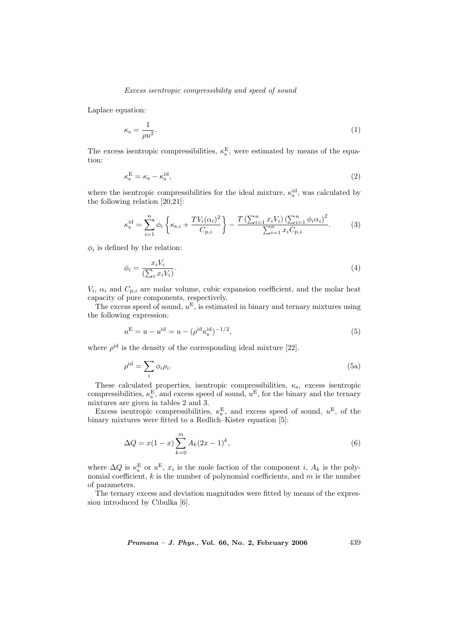Laplace equation:

$$
\kappa_{\rm s} = \frac{1}{\rho u^2}.\tag{1}
$$

The excess is entropic compressibilities,  $\kappa_s^E$ , were estimated by means of the equation:

$$
\kappa_{\rm s}^{\rm E} = \kappa_{\rm s} - \kappa_{\rm s}^{\rm id},\tag{2}
$$

where the isentropic compressibilities for the ideal mixture,  $\kappa_s^{\text{id}}$ , was calculated by the following relation [20,21]:

$$
\kappa_{\rm s}^{\rm id} = \sum_{i=1}^{n} \phi_i \left\{ \kappa_{\rm s,i} + \frac{T V_i (\alpha_i)^2}{C_{\rm p,i}} \right\} - \frac{T \left( \sum_{i=1}^{n} x_i V_i \right) \left( \sum_{i=1}^{n} \phi_i \alpha_i \right)^2}{\sum_{i=1}^{n} x_i C_{\rm p,i}}.
$$
 (3)

 $\phi_i$  is defined by the relation:

$$
\phi_i = \frac{x_i V_i}{\left(\sum_i x_i V_i\right)}.\tag{4}
$$

 $V_i$ ,  $\alpha_i$  and  $C_{p,i}$  are molar volume, cubic expansion coefficient, and the molar heat capacity of pure components, respectively.

The excess speed of sound,  $u^{\text{E}}$ , is estimated in binary and ternary mixtures using the following expression:

$$
u^{\mathcal{E}} = u - u^{\text{id}} = u - (\rho^{\text{id}} \kappa_s^{\text{id}})^{-1/2},\tag{5}
$$

where  $\rho^{\text{id}}$  is the density of the corresponding ideal mixture [22].

$$
\rho^{\rm id} = \sum_{i} \phi_i \rho_i. \tag{5a}
$$

These calculated properties, isentropic compressibilities,  $\kappa$ <sub>s</sub>, excess isentropic compressibilities,  $\kappa_s^{\rm E}$ , and excess speed of sound,  $u^{\rm E}$ , for the binary and the ternary mixtures are given in tables 2 and 3.

Excess isentropic compressibilities,  $\kappa_s^{\text{E}}$ , and excess speed of sound,  $u^{\text{E}}$ , of the binary mixtures were fitted to a Redlich–Kister equation [5]:

$$
\Delta Q = x(1-x) \sum_{k=0}^{m} A_k (2x-1)^k, \tag{6}
$$

where  $\Delta Q$  is  $\kappa_{\rm s}^{\rm E}$  or  $u^{\rm E}$ ,  $x_i$  is the mole faction of the component *i*,  $A_k$  is the polynomial coefficient,  $k$  is the number of polynomial coefficients, and  $m$  is the number of parameters.

The ternary excess and deviation magnitudes were fitted by means of the expression introduced by Cibulka [6].

*Pramana – J. Phys.*, Vol. 66, No. 2, February 2006  $439$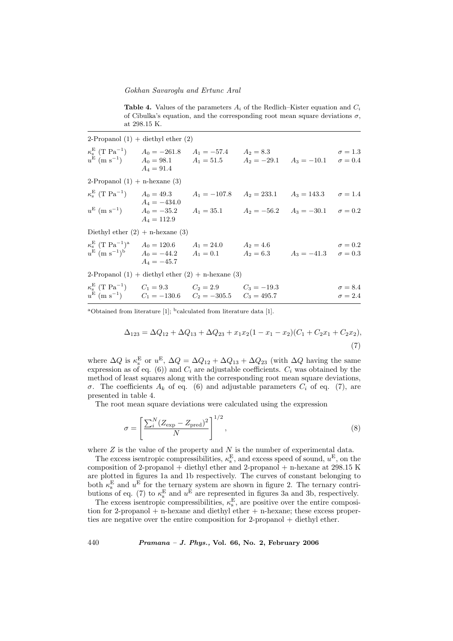Table 4. Values of the parameters  $A_i$  of the Redlich–Kister equation and  $C_i$ of Cibulka's equation, and the corresponding root mean square deviations  $\sigma$ , at 298.15 K.

| 2-Propanol $(1)$ + diethyl ether $(2)$                                                                                                                                                                             |                |  |                |                                  |
|--------------------------------------------------------------------------------------------------------------------------------------------------------------------------------------------------------------------|----------------|--|----------------|----------------------------------|
| $\kappa_s^E$ (T Pa <sup>-1</sup> ) $A_0 = -261.8$ $A_1 = -57.4$ $A_2 = 8.3$<br>$u^{E}$ (m s <sup>-1</sup> ) $A_0 = 98.1$ $A_1 = 51.5$ $A_2 = -29.1$ $A_3 = -10.1$ $\sigma = 0.4$                                   | $A_4 = 91.4$   |  |                | $\sigma = 1.3$                   |
| 2-Propanol $(1)$ + n-hexane $(3)$                                                                                                                                                                                  |                |  |                |                                  |
| $\kappa_{\rm s}^{\rm E}$ (T Pa <sup>-1</sup> ) $A_0 = 49.3$ $A_1 = -107.8$ $A_2 = 233.1$ $A_3 = 143.3$ $\sigma = 1.4$                                                                                              | $A_4 = -434.0$ |  |                |                                  |
| $u^{E}$ (m s <sup>-1</sup> ) $A_0 = -35.2$ $A_1 = 35.1$ $A_2 = -56.2$ $A_3 = -30.1$ $\sigma = 0.2$                                                                                                                 | $A_4 = 112.9$  |  |                |                                  |
| Diethyl ether $(2) + n$ -hexane $(3)$                                                                                                                                                                              |                |  |                |                                  |
| $\kappa_{\rm s}^{\rm E}$ (T Pa <sup>-1</sup> ) <sup>a</sup> $A_0 = 120.6$ $A_1 = 24.0$ $A_2 = 4.6$<br>$u^{E}$ (m s <sup>-1</sup> ) <sup>b</sup> $A_0 = -44.2$ $A_1 = 0.1$ $A_2 = 6.3$ $A_3 = -41.3$ $\sigma = 0.3$ | $A_4 = -45.7$  |  | $\sigma = 0.2$ |                                  |
| 2-Propanol $(1)$ + diethyl ether $(2)$ + n-hexane $(3)$                                                                                                                                                            |                |  |                |                                  |
| $\kappa_{\rm s}^{\rm E}$ (T Pa <sup>-1</sup> ) $C_1 = 9.3$ $C_2 = 2.9$ $C_3 = -19.3$<br>$u^{E}$ (m s <sup>-1</sup> ) $C_1 = -130.6$ $C_2 = -305.5$ $C_3 = 495.7$                                                   |                |  |                | $\sigma = 8.4$<br>$\sigma = 2.4$ |

<sup>a</sup>Obtained from literature [1];  $<sup>b</sup>$  calculated from literature data [1].</sup>

$$
\Delta_{123} = \Delta Q_{12} + \Delta Q_{13} + \Delta Q_{23} + x_1 x_2 (1 - x_1 - x_2)(C_1 + C_2 x_1 + C_2 x_2),
$$
\n(7)

where  $\Delta Q$  is  $\kappa_{\rm s}^{\rm E}$  or  $u^{\rm E}$ ,  $\Delta Q = \Delta Q_{12} + \Delta Q_{13} + \Delta Q_{23}$  (with  $\Delta Q$  having the same expression as of eq. (6)) and  $C_i$  are adjustable coefficients.  $C_i$  was obtained by the method of least squares along with the corresponding root mean square deviations, σ. The coefficients  $A_k$  of eq. (6) and adjustable parameters  $C_i$  of eq. (7), are presented in table 4.

The root mean square deviations were calculated using the expression

$$
\sigma = \left[\frac{\sum_{i}^{N} (Z_{\text{exp}} - Z_{\text{pred}})^2}{N}\right]^{1/2},\tag{8}
$$

where  $Z$  is the value of the property and  $N$  is the number of experimental data.

The excess isentropic compressibilities,  $\kappa_s^{\text{E}}$ , and excess speed of sound,  $u^{\text{E}}$ , on the composition of 2-propanol + diethyl ether and 2-propanol + n-hexane at 298.15 K are plotted in figures 1a and 1b respectively. The curves of constant belonging to both  $\kappa_{\rm s}^{\rm E}$  and  $u^{\rm E}$  for the ternary system are shown in figure 2. The ternary contributions of eq. (7) to  $\kappa_{\rm s}^{\rm E}$  and  $u^{\rm E}$  are represented in figures 3a and 3b, respectively.

The excess isentropic compressibilities,  $\kappa_s^{\rm E}$ , are positive over the entire composition for 2-propanol  $+$  n-hexane and diethyl ether  $+$  n-hexane; these excess properties are negative over the entire composition for 2-propanol + diethyl ether.

440 **Pramana – J. Phys., Vol. 66, No. 2, February 2006**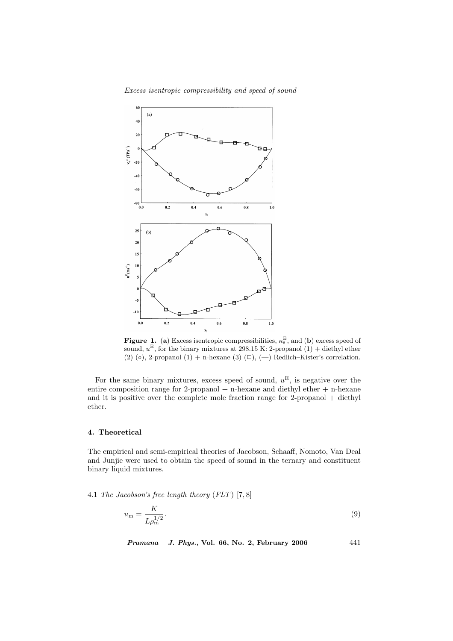



**Figure 1.** (a) Excess is entropic compressibilities,  $\kappa_s^{\text{E}}$ , and (b) excess speed of sound,  $u^{\text{E}}$ , for the binary mixtures at 298.15 K: 2-propanol (1) + diethyl ether (2) ( $\circ$ ), 2-propanol (1) + n-hexane (3) ( $\Box$ ), ( $\Box$ ) Redlich–Kister's correlation.

For the same binary mixtures, excess speed of sound,  $u^{\text{E}}$ , is negative over the entire composition range for 2-propanol  $+$  n-hexane and diethyl ether  $+$  n-hexane and it is positive over the complete mole fraction range for 2-propanol + diethyl ether.

## 4. Theoretical

The empirical and semi-empirical theories of Jacobson, Schaaff, Nomoto, Van Deal and Junjie were used to obtain the speed of sound in the ternary and constituent binary liquid mixtures.

4.1 The Jacobson's free length theory  $(FLT)$  [7,8]

$$
u_{\rm m} = \frac{K}{L \rho_{\rm m}^{1/2}}.\tag{9}
$$

Pramana - J. Phys., Vol. 66, No. 2, February 2006 441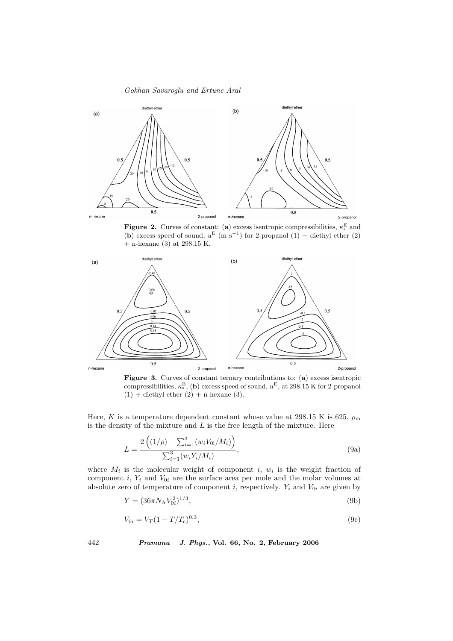

**Figure 2.** Curves of constant: (a) excess is entropic compressibilities,  $\kappa_s^{\rm E}$  and (b) excess speed of sound,  $u^{E}$  (m s<sup>-1</sup>) for 2-propanol (1) + diethyl ether (2) + n-hexane (3) at 298.15 K.



Figure 3. Curves of constant ternary contributions to: (a) excess isentropic compressibilities,  $\kappa_s^{\text{E}}$ , (b) excess speed of sound,  $u^{\text{E}}$ , at 298.15 K for 2-propanol  $(1)$  + diethyl ether  $(2)$  + n-hexane  $(3)$ .

Here, K is a temperature dependent constant whose value at 298.15 K is 625,  $\rho_{\rm m}$ is the density of the mixture and  $L$  is the free length of the mixture. Here

$$
L = \frac{2\left((1/\rho) - \sum_{i=1}^{3} (w_i V_{0i}/M_i)\right)}{\sum_{i=1}^{3} (w_i Y_i/M_i)},
$$
\n(9a)

where  $M_i$  is the molecular weight of component i,  $w_i$  is the weight fraction of component i,  $Y_i$  and  $V_{0i}$  are the surface area per mole and the molar volumes at absolute zero of temperature of component *i*, respectively.  $Y_i$  and  $V_{0i}$  are given by

$$
Y = (36\pi N_{A}V_{0i}^{2})^{1/3},\tag{9b}
$$

$$
V_{0i} = V_T (1 - T/T_c)^{0.3},\tag{9c}
$$

442 Pramana – J. Phys., Vol. 66, No. 2, February 2006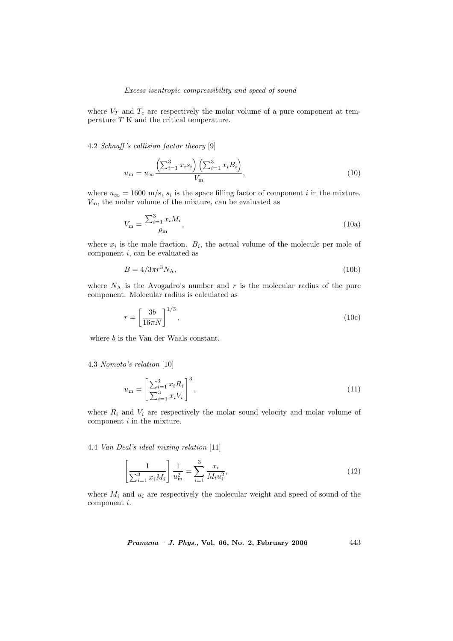where  $V_T$  and  $T_c$  are respectively the molar volume of a pure component at temperature  $T$  K and the critical temperature.

4.2 Schaaff 's collision factor theory [9]

$$
u_{\rm m} = u_{\infty} \frac{\left(\sum_{i=1}^{3} x_i s_i\right) \left(\sum_{i=1}^{3} x_i B_i\right)}{V_{\rm m}},\tag{10}
$$

where  $u_{\infty} = 1600$  m/s,  $s_i$  is the space filling factor of component *i* in the mixture.  $V<sub>m</sub>$ , the molar volume of the mixture, can be evaluated as

$$
V_{\rm m} = \frac{\sum_{i=1}^{3} x_i M_i}{\rho_{\rm m}},
$$
\n(10a)

where  $x_i$  is the mole fraction.  $B_i$ , the actual volume of the molecule per mole of component i, can be evaluated as

$$
B = 4/3\pi r^3 N_A,\tag{10b}
$$

where  $N_A$  is the Avogadro's number and r is the molecular radius of the pure component. Molecular radius is calculated as

$$
r = \left[\frac{3b}{16\pi N}\right]^{1/3},\tag{10c}
$$

where *b* is the Van der Waals constant.

## 4.3 Nomoto's relation [10]

$$
u_{\rm m} = \left[\frac{\sum_{i=1}^{3} x_i R_i}{\sum_{i=1}^{3} x_i V_i}\right]^3,
$$
\n(11)

where  $R_i$  and  $V_i$  are respectively the molar sound velocity and molar volume of component  $i$  in the mixture.

4.4 Van Deal's ideal mixing relation [11]

$$
\left[\frac{1}{\sum_{i=1}^{3} x_i M_i}\right] \frac{1}{u_m^2} = \sum_{i=1}^{3} \frac{x_i}{M_i u_i^2},\tag{12}
$$

where  $M_i$  and  $u_i$  are respectively the molecular weight and speed of sound of the component i.

$$
Pramana - J. Phys., Vol. 66, No. 2, February 2006 \qquad \qquad 443
$$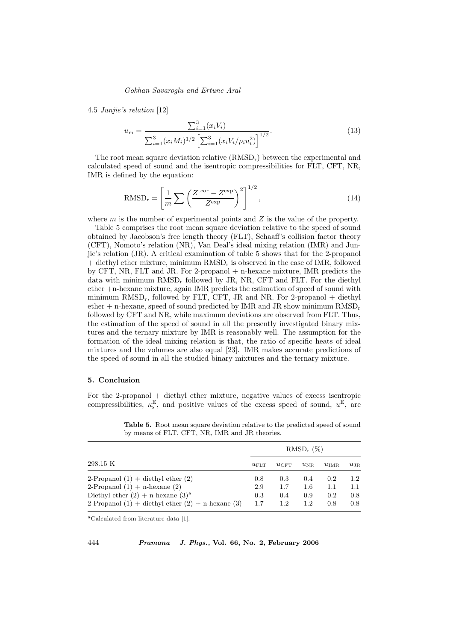#### 4.5 Junjie's relation [12]

$$
u_{\rm m} = \frac{\sum_{i=1}^{3} (x_i V_i)}{\sum_{i=1}^{3} (x_i M_i)^{1/2} \left[ \sum_{i=1}^{3} (x_i V_i / \rho_i u_i^2) \right]^{1/2}}.
$$
\n(13)

The root mean square deviation relative  $(RMSD<sub>r</sub>)$  between the experimental and calculated speed of sound and the isentropic compressibilities for FLT, CFT, NR, IMR is defined by the equation:

$$
RMSD_r = \left[\frac{1}{m} \sum \left(\frac{Z^{\text{teor}} - Z^{\text{exp}}}{Z^{\text{exp}}}\right)^2\right]^{1/2},\tag{14}
$$

where  $m$  is the number of experimental points and  $Z$  is the value of the property.

Table 5 comprises the root mean square deviation relative to the speed of sound obtained by Jacobson's free length theory (FLT), Schaaff's collision factor theory (CFT), Nomoto's relation (NR), Van Deal's ideal mixing relation (IMR) and Junjie's relation (JR). A critical examination of table 5 shows that for the 2-propanol + diethyl ether mixture, minimum RMSD<sup>r</sup> is observed in the case of IMR, followed by CFT, NR, FLT and JR. For 2-propanol + n-hexane mixture, IMR predicts the data with minimum RMSD<sub>r</sub> followed by JR, NR, CFT and FLT. For the diethyl ether +n-hexane mixture, again IMR predicts the estimation of speed of sound with minimum  $RMSD_r$ , followed by FLT, CFT, JR and NR. For 2-propanol + diethyl ether  $+$  n-hexane, speed of sound predicted by IMR and JR show minimum  $RMSD_r$ followed by CFT and NR, while maximum deviations are observed from FLT. Thus, the estimation of the speed of sound in all the presently investigated binary mixtures and the ternary mixture by IMR is reasonably well. The assumption for the formation of the ideal mixing relation is that, the ratio of specific heats of ideal mixtures and the volumes are also equal [23]. IMR makes accurate predictions of the speed of sound in all the studied binary mixtures and the ternary mixture.

## 5. Conclusion

For the 2-propanol + diethyl ether mixture, negative values of excess isentropic compressibilities,  $\kappa_s^{\text{E}}$ , and positive values of the excess speed of sound,  $u^{\text{E}}$ , are

|                                                         | $RMSD_r$ (%)     |           |              |                  |              |  |
|---------------------------------------------------------|------------------|-----------|--------------|------------------|--------------|--|
| 298.15 K                                                | $u_{\text{FIT}}$ | $uc$ $FT$ | $u_{\rm NR}$ | $u_{\text{IMR}}$ | $u_{\rm JR}$ |  |
| 2-Propanol $(1)$ + diethyl ether $(2)$                  | 0.8              | 0.3       | 0.4          | 0.2              | 1.2          |  |
| 2-Propanol $(1)$ + n-hexane $(2)$                       | 2.9              | 1.7       | 1.6          | 1.1              | 1.1          |  |
| Diethyl ether $(2) + n$ -hexane $(3)^a$                 | 0.3              | 0.4       | 0.9          | 0.2              | 0.8          |  |
| 2-Propanol $(1)$ + diethyl ether $(2)$ + n-hexane $(3)$ | 1.7              | 1.2       | 1.2          | 0.8              | 0.8          |  |

Table 5. Root mean square deviation relative to the predicted speed of sound by means of FLT, CFT, NR, IMR and JR theories.

<sup>a</sup>Calculated from literature data [1].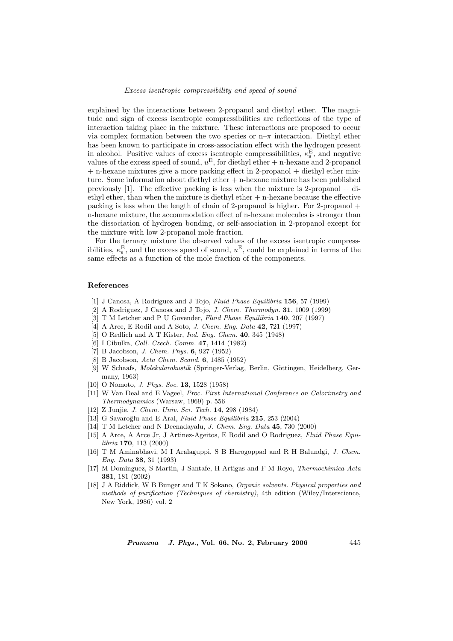explained by the interactions between 2-propanol and diethyl ether. The magnitude and sign of excess isentropic compressibilities are reflections of the type of interaction taking place in the mixture. These interactions are proposed to occur via complex formation between the two species or  $n-\pi$  interaction. Diethyl ether has been known to participate in cross-association effect with the hydrogen present in alcohol. Positive values of excess isentropic compressibilities,  $\kappa_s^{\rm E}$ , and negative values of the excess speed of sound,  $u^E$ , for diethyl ether + n-hexane and 2-propanol  $+$  n-hexane mixtures give a more packing effect in 2-propanol  $+$  diethyl ether mixture. Some information about diethyl ether + n-hexane mixture has been published previously  $[1]$ . The effective packing is less when the mixture is 2-propanol  $+$  diethyl ether, than when the mixture is diethyl ether + n-hexane because the effective packing is less when the length of chain of 2-propanol is higher. For 2-propanol + n-hexane mixture, the accommodation effect of n-hexane molecules is stronger than the dissociation of hydrogen bonding, or self-association in 2-propanol except for the mixture with low 2-propanol mole fraction.

For the ternary mixture the observed values of the excess isentropic compressibilities,  $\kappa_s^{\text{E}}$ , and the excess speed of sound,  $u^{\text{E}}$ , could be explained in terms of the same effects as a function of the mole fraction of the components.

#### References

- [1] J Canosa, A Rodriguez and J Tojo, *Fluid Phase Equilibria* 156, 57 (1999)
- [2] A Rodriguez, J Canosa and J Tojo, J. Chem. Thermodyn. 31, 1009 (1999)
- [3] T M Letcher and P U Govender, Fluid Phase Equilibria 140, 207 (1997)
- [4] A Arce, E Rodil and A Soto, *J. Chem. Eng. Data* **42**, 721 (1997)
- [5] O Redlich and A T Kister, Ind. Eng. Chem. 40, 345 (1948)
- [6] I Cibulka, Coll. Czech. Comm. 47, 1414 (1982)
- [7] B Jacobson, *J. Chem. Phys.* **6**, 927 (1952)
- [8] B Jacobson, Acta Chem. Scand. 6, 1485 (1952)
- [9] W Schaafs, *Molekularakustik* (Springer-Verlag, Berlin, Göttingen, Heidelberg, Germany, 1963)
- [10] O Nomoto, *J. Phys. Soc.* **13**, 1528 (1958)
- [11] W Van Deal and E Vageel, Proc. First International Conference on Calorimetry and Thermodynamics (Warsaw, 1969) p. 556
- [12] Z Junjie, J. Chem. Univ. Sci. Tech. 14, 298 (1984)
- [13] G Savaroğlu and E Aral, Fluid Phase Equilibria 215, 253 (2004)
- [14] T M Letcher and N Deenadayalu, J. Chem. Eng. Data 45, 730 (2000)
- [15] A Arce, A Arce Jr, J Artinez-Ageitos, E Rodil and O Rodriguez, Fluid Phase Equilibria 170, 113 (2000)
- [16] T M Aminabhavi, M I Aralaguppi, S B Harogoppad and R H Balundgi, J. Chem. Eng. Data 38, 31 (1993)
- [17] M Dominguez, S Martin, J Santafe, H Artigas and F M Royo, Thermochimica Acta 381, 181 (2002)
- [18] J A Riddick, W B Bunger and T K Sokano, Organic solvents. Physical properties and methods of purification (Techniques of chemistry), 4th edition (Wiley/Interscience, New York, 1986) vol. 2